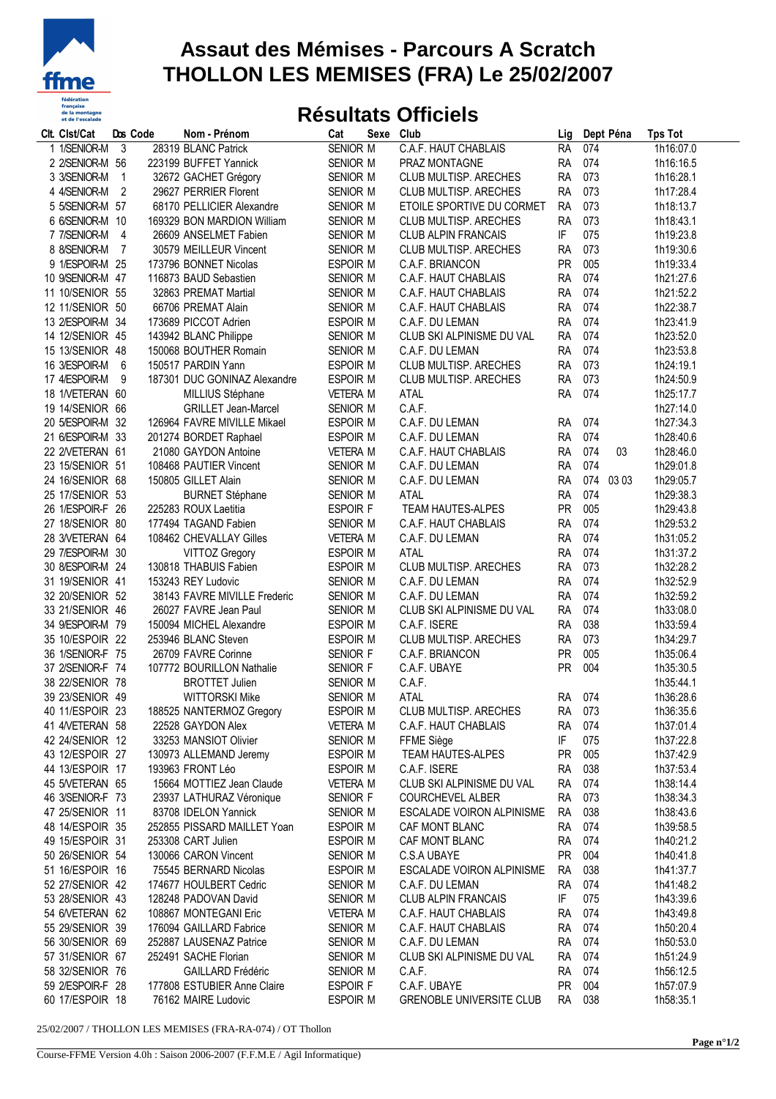

## **Assaut des Mémises - Parcours A Scratch THOLLON LES MEMISES (FRA) Le 25/02/2007**

## **Résultats Officiels**

| 3<br>28319 BLANC Patrick<br><b>SENIOR M</b><br>1h16:07.0<br>1 1/SENIOR-M<br>C.A.F. HAUT CHABLAIS<br><b>RA</b><br>074<br>2 2/SENIOR-M 56<br>SENIOR M<br>074<br>223199 BUFFET Yannick<br>PRAZ MONTAGNE<br><b>RA</b><br>1h16:16.5<br><b>RA</b><br>073<br>3 3/SENIOR-M<br>$\mathbf{1}$<br>32672 GACHET Grégory<br>SENIOR M<br>CLUB MULTISP. ARECHES<br>1h16:28.1<br>073<br>$\overline{c}$<br>29627 PERRIER Florent<br><b>RA</b><br>1h17:28.4<br>4 4/SENIOR-M<br>SENIOR M<br>CLUB MULTISP. ARECHES<br>073<br>5 5/SENIOR-M 57<br>68170 PELLICIER Alexandre<br>SENIOR M<br>ETOILE SPORTIVE DU CORMET<br><b>RA</b><br>1h18:13.7<br>073<br>6 6/SENIOR-M 10<br>169329 BON MARDION William<br>SENIOR M<br>CLUB MULTISP. ARECHES<br><b>RA</b><br>1h18:43.1<br>075<br>7 7/SENIOR-M<br>26609 ANSELMET Fabien<br>SENIOR M<br><b>CLUB ALPIN FRANCAIS</b><br>IF<br>1h19:23.8<br>4<br>073<br>8 8/SENIOR-M<br>7<br>30579 MEILLEUR Vincent<br>SENIOR M<br><b>RA</b><br>1h19:30.6<br><b>CLUB MULTISP. ARECHES</b><br>PR<br>005<br>9 1/ESPOIR-M 25<br>173796 BONNET Nicolas<br>ESPOIR M<br>1h19:33.4<br>C.A.F. BRIANCON<br>074<br>10 9/SENIOR-M 47<br>116873 BAUD Sebastien<br>SENIOR M<br>C.A.F. HAUT CHABLAIS<br><b>RA</b><br>1h21:27.6<br>074<br>11 10/SENIOR 55<br>32863 PREMAT Martial<br>SENIOR M<br><b>RA</b><br>1h21:52.2<br>C.A.F. HAUT CHABLAIS<br><b>RA</b><br>074<br>12 11/SENIOR 50<br>66706 PREMAT Alain<br>SENIOR M<br>1h22:38.7<br>C.A.F. HAUT CHABLAIS<br>074<br>1h23:41.9<br>13 2/ESPOIR-M 34<br>173689 PICCOT Adrien<br><b>ESPOIR M</b><br><b>RA</b><br>C.A.F. DU LEMAN<br>074<br>14 12/SENIOR 45<br>143942 BLANC Philippe<br>SENIOR M<br>CLUB SKI ALPINISME DU VAL<br><b>RA</b><br>1h23:52.0<br><b>RA</b><br>074<br>15 13/SENIOR 48<br>150068 BOUTHER Romain<br>SENIOR M<br>1h23:53.8<br>C.A.F. DU LEMAN<br>073<br>16 3/ESPOIR-M<br>ESPOIR M<br>6<br>150517 PARDIN Yann<br>CLUB MULTISP. ARECHES<br><b>RA</b><br>1h24:19.1<br>073<br>17 4/ESPOIR-M<br><b>RA</b><br>9<br>187301 DUC GONINAZ Alexandre<br>ESPOIR M<br>CLUB MULTISP. ARECHES<br>1h24:50.9<br>074<br>ATAL<br><b>RA</b><br>18 1NETERAN 60<br>MILLIUS Stéphane<br><b>VETERA M</b><br>1h25:17.7<br>C.A.F.<br>1h27:14.0<br>19 14/SENIOR 66<br><b>GRILLET Jean-Marcel</b><br>SENIOR M<br>1h27:34.3<br>20 5/ESPOIR-M 32<br>126964 FAVRE MIVILLE Mikael<br>ESPOIR M<br>C.A.F. DU LEMAN<br><b>RA</b><br>074<br>074<br>1h28:40.6<br>21 6/ESPOIR-M 33<br>201274 BORDET Raphael<br>ESPOIR M<br>C.A.F. DU LEMAN<br><b>RA</b><br>074<br>22 2NETERAN 61<br>21080 GAYDON Antoine<br><b>VETERA M</b><br>C.A.F. HAUT CHABLAIS<br><b>RA</b><br>03<br>1h28:46.0<br>074<br>1h29:01.8<br>23 15/SENIOR 51<br>108468 PAUTIER Vincent<br>SENIOR M<br><b>RA</b><br>C.A.F. DU LEMAN<br>074<br>24 16/SENIOR 68<br>150805 GILLET Alain<br>SENIOR M<br>C.A.F. DU LEMAN<br><b>RA</b><br>03 03<br>1h29:05.7<br>074<br>25 17/SENIOR 53<br><b>BURNET Stéphane</b><br>SENIOR M<br><b>ATAL</b><br><b>RA</b><br>1h29:38.3<br><b>PR</b><br>005<br>26 1/ESPOIR-F 26<br>225283 ROUX Laetitia<br><b>ESPOIR F</b><br>TEAM HAUTES-ALPES<br>1h29:43.8<br>074<br>27 18/SENIOR 80<br>177494 TAGAND Fabien<br><b>RA</b><br>1h29:53.2<br>SENIOR M<br>C.A.F. HAUT CHABLAIS<br>28 3NETERAN 64<br><b>RA</b><br>074<br>108462 CHEVALLAY Gilles<br><b>VETERA M</b><br>C.A.F. DU LEMAN<br>1h31:05.2<br>074<br>29 7/ESPOIR-M 30<br><b>VITTOZ Gregory</b><br>ESPOIR M<br><b>ATAL</b><br><b>RA</b><br>1h31:37.2<br>073<br>30 8/ESPOIR-M 24<br>CLUB MULTISP. ARECHES<br>130818 THABUIS Fabien<br><b>ESPOIR M</b><br><b>RA</b><br>1h32:28.2<br>074<br><b>RA</b><br>31 19/SENIOR 41<br>153243 REY Ludovic<br>SENIOR M<br>C.A.F. DU LEMAN<br>1h32:52.9<br><b>RA</b><br>074<br>32 20/SENIOR 52<br>38143 FAVRE MIVILLE Frederic<br>SENIOR M<br>C.A.F. DU LEMAN<br>1h32:59.2<br>074<br>33 21/SENIOR 46<br>26027 FAVRE Jean Paul<br>SENIOR M<br>CLUB SKI ALPINISME DU VAL<br><b>RA</b><br>1h33:08.0<br>038<br>34 9/ESPOIR-M 79<br>150094 MICHEL Alexandre<br>ESPOIR M<br>C.A.F. ISERE<br><b>RA</b><br>1h33:59.4<br>073<br>35 10/ESPOIR 22<br>253946 BLANC Steven<br><b>ESPOIR M</b><br>CLUB MULTISP. ARECHES<br><b>RA</b><br>1h34:29.7<br><b>PR</b><br>005<br>36 1/SENIOR-F 75<br>26709 FAVRE Corinne<br>SENIOR F<br>C.A.F. BRIANCON<br>1h35:06.4<br>004<br>PR<br>37 2/SENIOR-F 74<br>107772 BOURILLON Nathalie<br>C.A.F. UBAYE<br>1h35:30.5<br>SENIOR F<br>38 22/SENIOR 78<br><b>BROTTET Julien</b><br>C.A.F.<br>1h35:44.1<br>SENIOR M<br>39 23/SENIOR 49<br><b>WITTORSKI Mike</b><br>ATAL<br>074<br>1h36:28.6<br><b>SENIOR M</b><br><b>RA</b><br>40 11/ESPOIR 23<br>188525 NANTERMOZ Gregory<br><b>ESPOIR M</b><br><b>CLUB MULTISP. ARECHES</b><br>RA<br>073<br>1h36:35.6<br>22528 GAYDON Alex<br><b>VETERA M</b><br>074<br>1h37:01.4<br>41 4/VETERAN 58<br>C.A.F. HAUT CHABLAIS<br><b>RA</b><br>42 24/SENIOR 12<br>33253 MANSIOT Olivier<br>SENIOR M<br>IF<br>075<br>1h37:22.8<br>FFME Siège<br>43 12/ESPOIR 27<br>005<br>130973 ALLEMAND Jeremy<br>ESPOIR M<br>TEAM HAUTES-ALPES<br><b>PR</b><br>1h37:42.9<br>038<br>44 13/ESPOIR 17<br>193963 FRONT Léo<br>C.A.F. ISERE<br>1h37:53.4<br><b>ESPOIR M</b><br><b>RA</b><br>15664 MOTTIEZ Jean Claude<br>074<br>1h38:14.4<br>45 5/VETERAN 65<br><b>VETERA M</b><br>CLUB SKI ALPINISME DU VAL<br>RA<br>46 3/SENIOR-F 73<br>23937 LATHURAZ Véronique<br><b>COURCHEVEL ALBER</b><br>073<br>1h38:34.3<br>SENIOR F<br><b>RA</b><br>47 25/SENIOR 11<br>83708 IDELON Yannick<br>SENIOR M<br>ESCALADE VOIRON ALPINISME<br>038<br><b>RA</b><br>1h38:43.6<br>48 14/ESPOIR 35<br>252855 PISSARD MAILLET Yoan<br>ESPOIR M<br>074<br>1h39:58.5<br>CAF MONT BLANC<br>RA<br>074<br>49 15/ESPOIR 31<br>253308 CART Julien<br>ESPOIR M<br><b>RA</b><br>1h40:21.2<br>CAF MONT BLANC<br>50 26/SENIOR 54<br>130066 CARON Vincent<br><b>PR</b><br>004<br>1h40:41.8<br>SENIOR M<br>C.S.A UBAYE<br>51 16/ESPOIR 16<br>75545 BERNARD Nicolas<br>ESCALADE VOIRON ALPINISME<br>038<br>ESPOIR M<br>RA<br>1h41:37.7<br>52 27/SENIOR 42<br>174677 HOULBERT Cedric<br>C.A.F. DU LEMAN<br>074<br>SENIOR M<br>RA<br>1h41:48.2<br>53 28/SENIOR 43<br><b>CLUB ALPIN FRANCAIS</b><br>IF<br>075<br>128248 PADOVAN David<br>SENIOR M<br>1h43:39.6<br>54 6/VETERAN 62<br>108867 MONTEGANI Eric<br>074<br><b>VETERA M</b><br>C.A.F. HAUT CHABLAIS<br><b>RA</b><br>1h43:49.8<br>55 29/SENIOR 39<br>176094 GAILLARD Fabrice<br>RA<br>074<br>1h50:20.4<br>SENIOR M<br>C.A.F. HAUT CHABLAIS<br>56 30/SENIOR 69<br>074<br>252887 LAUSENAZ Patrice<br>SENIOR M<br>C.A.F. DU LEMAN<br>RA.<br>1h50:53.0<br>57 31/SENIOR 67<br>252491 SACHE Florian<br>074<br>1h51:24.9<br>SENIOR M<br>CLUB SKI ALPINISME DU VAL<br><b>RA</b><br>58 32/SENIOR 76<br>074<br><b>GAILLARD Frédéric</b><br>SENIOR M<br>C.A.F.<br><b>RA</b><br>1h56:12.5<br>59 2/ESPOIR-F 28<br>177808 ESTUBIER Anne Claire<br><b>PR</b><br>004<br><b>ESPOIR F</b><br>C.A.F. UBAYE<br>1h57:07.9<br>60 17/ESPOIR 18<br>038<br>1h58:35.1<br>76162 MAIRE Ludovic<br>ESPOIR M<br><b>GRENOBLE UNIVERSITE CLUB</b><br><b>RA</b> | Clt. Clst/Cat | Dos Code | Nom - Prénom | Cat | Sexe | Club | Lig | Dept Péna | <b>Tps Tot</b> |
|---------------------------------------------------------------------------------------------------------------------------------------------------------------------------------------------------------------------------------------------------------------------------------------------------------------------------------------------------------------------------------------------------------------------------------------------------------------------------------------------------------------------------------------------------------------------------------------------------------------------------------------------------------------------------------------------------------------------------------------------------------------------------------------------------------------------------------------------------------------------------------------------------------------------------------------------------------------------------------------------------------------------------------------------------------------------------------------------------------------------------------------------------------------------------------------------------------------------------------------------------------------------------------------------------------------------------------------------------------------------------------------------------------------------------------------------------------------------------------------------------------------------------------------------------------------------------------------------------------------------------------------------------------------------------------------------------------------------------------------------------------------------------------------------------------------------------------------------------------------------------------------------------------------------------------------------------------------------------------------------------------------------------------------------------------------------------------------------------------------------------------------------------------------------------------------------------------------------------------------------------------------------------------------------------------------------------------------------------------------------------------------------------------------------------------------------------------------------------------------------------------------------------------------------------------------------------------------------------------------------------------------------------------------------------------------------------------------------------------------------------------------------------------------------------------------------------------------------------------------------------------------------------------------------------------------------------------------------------------------------------------------------------------------------------------------------------------------------------------------------------------------------------------------------------------------------------------------------------------------------------------------------------------------------------------------------------------------------------------------------------------------------------------------------------------------------------------------------------------------------------------------------------------------------------------------------------------------------------------------------------------------------------------------------------------------------------------------------------------------------------------------------------------------------------------------------------------------------------------------------------------------------------------------------------------------------------------------------------------------------------------------------------------------------------------------------------------------------------------------------------------------------------------------------------------------------------------------------------------------------------------------------------------------------------------------------------------------------------------------------------------------------------------------------------------------------------------------------------------------------------------------------------------------------------------------------------------------------------------------------------------------------------------------------------------------------------------------------------------------------------------------------------------------------------------------------------------------------------------------------------------------------------------------------------------------------------------------------------------------------------------------------------------------------------------------------------------------------------------------------------------------------------------------------------------------------------------------------------------------------------------------------------------------------------------------------------------------------------------------------------------------------------------------------------------------------------------------------------------------------------------------------------------------------------------------------------------------------------------------------------------------------------------------------------------------------------------------------------------------------------------------------------------------------------------------------------------------------------------------------------------------------------------------------------------------------------------------------------------------------------------------------------------------------------------------------------------------------------------------------------------------------------------------------------------------------------------------------------------------------------------------------------------------------------------------------------------------------------------------------------------------------------------------------------------------------------------------------------------------------------------------------------------------------------------------------------------------------------------------------------------------------------------------------------------------------------------------------------------------------------------------------------------------------------------------------------------------------------------------------------------------------------------------------------------------------------------------------------------|---------------|----------|--------------|-----|------|------|-----|-----------|----------------|
|                                                                                                                                                                                                                                                                                                                                                                                                                                                                                                                                                                                                                                                                                                                                                                                                                                                                                                                                                                                                                                                                                                                                                                                                                                                                                                                                                                                                                                                                                                                                                                                                                                                                                                                                                                                                                                                                                                                                                                                                                                                                                                                                                                                                                                                                                                                                                                                                                                                                                                                                                                                                                                                                                                                                                                                                                                                                                                                                                                                                                                                                                                                                                                                                                                                                                                                                                                                                                                                                                                                                                                                                                                                                                                                                                                                                                                                                                                                                                                                                                                                                                                                                                                                                                                                                                                                                                                                                                                                                                                                                                                                                                                                                                                                                                                                                                                                                                                                                                                                                                                                                                                                                                                                                                                                                                                                                                                                                                                                                                                                                                                                                                                                                                                                                                                                                                                                                                                                                                                                                                                                                                                                                                                                                                                                                                                                                                                                                                                                                                                                                                                                                                                                                                                                                                                                                                                                                                                                                                                                 |               |          |              |     |      |      |     |           |                |
|                                                                                                                                                                                                                                                                                                                                                                                                                                                                                                                                                                                                                                                                                                                                                                                                                                                                                                                                                                                                                                                                                                                                                                                                                                                                                                                                                                                                                                                                                                                                                                                                                                                                                                                                                                                                                                                                                                                                                                                                                                                                                                                                                                                                                                                                                                                                                                                                                                                                                                                                                                                                                                                                                                                                                                                                                                                                                                                                                                                                                                                                                                                                                                                                                                                                                                                                                                                                                                                                                                                                                                                                                                                                                                                                                                                                                                                                                                                                                                                                                                                                                                                                                                                                                                                                                                                                                                                                                                                                                                                                                                                                                                                                                                                                                                                                                                                                                                                                                                                                                                                                                                                                                                                                                                                                                                                                                                                                                                                                                                                                                                                                                                                                                                                                                                                                                                                                                                                                                                                                                                                                                                                                                                                                                                                                                                                                                                                                                                                                                                                                                                                                                                                                                                                                                                                                                                                                                                                                                                                 |               |          |              |     |      |      |     |           |                |
|                                                                                                                                                                                                                                                                                                                                                                                                                                                                                                                                                                                                                                                                                                                                                                                                                                                                                                                                                                                                                                                                                                                                                                                                                                                                                                                                                                                                                                                                                                                                                                                                                                                                                                                                                                                                                                                                                                                                                                                                                                                                                                                                                                                                                                                                                                                                                                                                                                                                                                                                                                                                                                                                                                                                                                                                                                                                                                                                                                                                                                                                                                                                                                                                                                                                                                                                                                                                                                                                                                                                                                                                                                                                                                                                                                                                                                                                                                                                                                                                                                                                                                                                                                                                                                                                                                                                                                                                                                                                                                                                                                                                                                                                                                                                                                                                                                                                                                                                                                                                                                                                                                                                                                                                                                                                                                                                                                                                                                                                                                                                                                                                                                                                                                                                                                                                                                                                                                                                                                                                                                                                                                                                                                                                                                                                                                                                                                                                                                                                                                                                                                                                                                                                                                                                                                                                                                                                                                                                                                                 |               |          |              |     |      |      |     |           |                |
|                                                                                                                                                                                                                                                                                                                                                                                                                                                                                                                                                                                                                                                                                                                                                                                                                                                                                                                                                                                                                                                                                                                                                                                                                                                                                                                                                                                                                                                                                                                                                                                                                                                                                                                                                                                                                                                                                                                                                                                                                                                                                                                                                                                                                                                                                                                                                                                                                                                                                                                                                                                                                                                                                                                                                                                                                                                                                                                                                                                                                                                                                                                                                                                                                                                                                                                                                                                                                                                                                                                                                                                                                                                                                                                                                                                                                                                                                                                                                                                                                                                                                                                                                                                                                                                                                                                                                                                                                                                                                                                                                                                                                                                                                                                                                                                                                                                                                                                                                                                                                                                                                                                                                                                                                                                                                                                                                                                                                                                                                                                                                                                                                                                                                                                                                                                                                                                                                                                                                                                                                                                                                                                                                                                                                                                                                                                                                                                                                                                                                                                                                                                                                                                                                                                                                                                                                                                                                                                                                                                 |               |          |              |     |      |      |     |           |                |
|                                                                                                                                                                                                                                                                                                                                                                                                                                                                                                                                                                                                                                                                                                                                                                                                                                                                                                                                                                                                                                                                                                                                                                                                                                                                                                                                                                                                                                                                                                                                                                                                                                                                                                                                                                                                                                                                                                                                                                                                                                                                                                                                                                                                                                                                                                                                                                                                                                                                                                                                                                                                                                                                                                                                                                                                                                                                                                                                                                                                                                                                                                                                                                                                                                                                                                                                                                                                                                                                                                                                                                                                                                                                                                                                                                                                                                                                                                                                                                                                                                                                                                                                                                                                                                                                                                                                                                                                                                                                                                                                                                                                                                                                                                                                                                                                                                                                                                                                                                                                                                                                                                                                                                                                                                                                                                                                                                                                                                                                                                                                                                                                                                                                                                                                                                                                                                                                                                                                                                                                                                                                                                                                                                                                                                                                                                                                                                                                                                                                                                                                                                                                                                                                                                                                                                                                                                                                                                                                                                                 |               |          |              |     |      |      |     |           |                |
|                                                                                                                                                                                                                                                                                                                                                                                                                                                                                                                                                                                                                                                                                                                                                                                                                                                                                                                                                                                                                                                                                                                                                                                                                                                                                                                                                                                                                                                                                                                                                                                                                                                                                                                                                                                                                                                                                                                                                                                                                                                                                                                                                                                                                                                                                                                                                                                                                                                                                                                                                                                                                                                                                                                                                                                                                                                                                                                                                                                                                                                                                                                                                                                                                                                                                                                                                                                                                                                                                                                                                                                                                                                                                                                                                                                                                                                                                                                                                                                                                                                                                                                                                                                                                                                                                                                                                                                                                                                                                                                                                                                                                                                                                                                                                                                                                                                                                                                                                                                                                                                                                                                                                                                                                                                                                                                                                                                                                                                                                                                                                                                                                                                                                                                                                                                                                                                                                                                                                                                                                                                                                                                                                                                                                                                                                                                                                                                                                                                                                                                                                                                                                                                                                                                                                                                                                                                                                                                                                                                 |               |          |              |     |      |      |     |           |                |
|                                                                                                                                                                                                                                                                                                                                                                                                                                                                                                                                                                                                                                                                                                                                                                                                                                                                                                                                                                                                                                                                                                                                                                                                                                                                                                                                                                                                                                                                                                                                                                                                                                                                                                                                                                                                                                                                                                                                                                                                                                                                                                                                                                                                                                                                                                                                                                                                                                                                                                                                                                                                                                                                                                                                                                                                                                                                                                                                                                                                                                                                                                                                                                                                                                                                                                                                                                                                                                                                                                                                                                                                                                                                                                                                                                                                                                                                                                                                                                                                                                                                                                                                                                                                                                                                                                                                                                                                                                                                                                                                                                                                                                                                                                                                                                                                                                                                                                                                                                                                                                                                                                                                                                                                                                                                                                                                                                                                                                                                                                                                                                                                                                                                                                                                                                                                                                                                                                                                                                                                                                                                                                                                                                                                                                                                                                                                                                                                                                                                                                                                                                                                                                                                                                                                                                                                                                                                                                                                                                                 |               |          |              |     |      |      |     |           |                |
|                                                                                                                                                                                                                                                                                                                                                                                                                                                                                                                                                                                                                                                                                                                                                                                                                                                                                                                                                                                                                                                                                                                                                                                                                                                                                                                                                                                                                                                                                                                                                                                                                                                                                                                                                                                                                                                                                                                                                                                                                                                                                                                                                                                                                                                                                                                                                                                                                                                                                                                                                                                                                                                                                                                                                                                                                                                                                                                                                                                                                                                                                                                                                                                                                                                                                                                                                                                                                                                                                                                                                                                                                                                                                                                                                                                                                                                                                                                                                                                                                                                                                                                                                                                                                                                                                                                                                                                                                                                                                                                                                                                                                                                                                                                                                                                                                                                                                                                                                                                                                                                                                                                                                                                                                                                                                                                                                                                                                                                                                                                                                                                                                                                                                                                                                                                                                                                                                                                                                                                                                                                                                                                                                                                                                                                                                                                                                                                                                                                                                                                                                                                                                                                                                                                                                                                                                                                                                                                                                                                 |               |          |              |     |      |      |     |           |                |
|                                                                                                                                                                                                                                                                                                                                                                                                                                                                                                                                                                                                                                                                                                                                                                                                                                                                                                                                                                                                                                                                                                                                                                                                                                                                                                                                                                                                                                                                                                                                                                                                                                                                                                                                                                                                                                                                                                                                                                                                                                                                                                                                                                                                                                                                                                                                                                                                                                                                                                                                                                                                                                                                                                                                                                                                                                                                                                                                                                                                                                                                                                                                                                                                                                                                                                                                                                                                                                                                                                                                                                                                                                                                                                                                                                                                                                                                                                                                                                                                                                                                                                                                                                                                                                                                                                                                                                                                                                                                                                                                                                                                                                                                                                                                                                                                                                                                                                                                                                                                                                                                                                                                                                                                                                                                                                                                                                                                                                                                                                                                                                                                                                                                                                                                                                                                                                                                                                                                                                                                                                                                                                                                                                                                                                                                                                                                                                                                                                                                                                                                                                                                                                                                                                                                                                                                                                                                                                                                                                                 |               |          |              |     |      |      |     |           |                |
|                                                                                                                                                                                                                                                                                                                                                                                                                                                                                                                                                                                                                                                                                                                                                                                                                                                                                                                                                                                                                                                                                                                                                                                                                                                                                                                                                                                                                                                                                                                                                                                                                                                                                                                                                                                                                                                                                                                                                                                                                                                                                                                                                                                                                                                                                                                                                                                                                                                                                                                                                                                                                                                                                                                                                                                                                                                                                                                                                                                                                                                                                                                                                                                                                                                                                                                                                                                                                                                                                                                                                                                                                                                                                                                                                                                                                                                                                                                                                                                                                                                                                                                                                                                                                                                                                                                                                                                                                                                                                                                                                                                                                                                                                                                                                                                                                                                                                                                                                                                                                                                                                                                                                                                                                                                                                                                                                                                                                                                                                                                                                                                                                                                                                                                                                                                                                                                                                                                                                                                                                                                                                                                                                                                                                                                                                                                                                                                                                                                                                                                                                                                                                                                                                                                                                                                                                                                                                                                                                                                 |               |          |              |     |      |      |     |           |                |
|                                                                                                                                                                                                                                                                                                                                                                                                                                                                                                                                                                                                                                                                                                                                                                                                                                                                                                                                                                                                                                                                                                                                                                                                                                                                                                                                                                                                                                                                                                                                                                                                                                                                                                                                                                                                                                                                                                                                                                                                                                                                                                                                                                                                                                                                                                                                                                                                                                                                                                                                                                                                                                                                                                                                                                                                                                                                                                                                                                                                                                                                                                                                                                                                                                                                                                                                                                                                                                                                                                                                                                                                                                                                                                                                                                                                                                                                                                                                                                                                                                                                                                                                                                                                                                                                                                                                                                                                                                                                                                                                                                                                                                                                                                                                                                                                                                                                                                                                                                                                                                                                                                                                                                                                                                                                                                                                                                                                                                                                                                                                                                                                                                                                                                                                                                                                                                                                                                                                                                                                                                                                                                                                                                                                                                                                                                                                                                                                                                                                                                                                                                                                                                                                                                                                                                                                                                                                                                                                                                                 |               |          |              |     |      |      |     |           |                |
|                                                                                                                                                                                                                                                                                                                                                                                                                                                                                                                                                                                                                                                                                                                                                                                                                                                                                                                                                                                                                                                                                                                                                                                                                                                                                                                                                                                                                                                                                                                                                                                                                                                                                                                                                                                                                                                                                                                                                                                                                                                                                                                                                                                                                                                                                                                                                                                                                                                                                                                                                                                                                                                                                                                                                                                                                                                                                                                                                                                                                                                                                                                                                                                                                                                                                                                                                                                                                                                                                                                                                                                                                                                                                                                                                                                                                                                                                                                                                                                                                                                                                                                                                                                                                                                                                                                                                                                                                                                                                                                                                                                                                                                                                                                                                                                                                                                                                                                                                                                                                                                                                                                                                                                                                                                                                                                                                                                                                                                                                                                                                                                                                                                                                                                                                                                                                                                                                                                                                                                                                                                                                                                                                                                                                                                                                                                                                                                                                                                                                                                                                                                                                                                                                                                                                                                                                                                                                                                                                                                 |               |          |              |     |      |      |     |           |                |
|                                                                                                                                                                                                                                                                                                                                                                                                                                                                                                                                                                                                                                                                                                                                                                                                                                                                                                                                                                                                                                                                                                                                                                                                                                                                                                                                                                                                                                                                                                                                                                                                                                                                                                                                                                                                                                                                                                                                                                                                                                                                                                                                                                                                                                                                                                                                                                                                                                                                                                                                                                                                                                                                                                                                                                                                                                                                                                                                                                                                                                                                                                                                                                                                                                                                                                                                                                                                                                                                                                                                                                                                                                                                                                                                                                                                                                                                                                                                                                                                                                                                                                                                                                                                                                                                                                                                                                                                                                                                                                                                                                                                                                                                                                                                                                                                                                                                                                                                                                                                                                                                                                                                                                                                                                                                                                                                                                                                                                                                                                                                                                                                                                                                                                                                                                                                                                                                                                                                                                                                                                                                                                                                                                                                                                                                                                                                                                                                                                                                                                                                                                                                                                                                                                                                                                                                                                                                                                                                                                                 |               |          |              |     |      |      |     |           |                |
|                                                                                                                                                                                                                                                                                                                                                                                                                                                                                                                                                                                                                                                                                                                                                                                                                                                                                                                                                                                                                                                                                                                                                                                                                                                                                                                                                                                                                                                                                                                                                                                                                                                                                                                                                                                                                                                                                                                                                                                                                                                                                                                                                                                                                                                                                                                                                                                                                                                                                                                                                                                                                                                                                                                                                                                                                                                                                                                                                                                                                                                                                                                                                                                                                                                                                                                                                                                                                                                                                                                                                                                                                                                                                                                                                                                                                                                                                                                                                                                                                                                                                                                                                                                                                                                                                                                                                                                                                                                                                                                                                                                                                                                                                                                                                                                                                                                                                                                                                                                                                                                                                                                                                                                                                                                                                                                                                                                                                                                                                                                                                                                                                                                                                                                                                                                                                                                                                                                                                                                                                                                                                                                                                                                                                                                                                                                                                                                                                                                                                                                                                                                                                                                                                                                                                                                                                                                                                                                                                                                 |               |          |              |     |      |      |     |           |                |
|                                                                                                                                                                                                                                                                                                                                                                                                                                                                                                                                                                                                                                                                                                                                                                                                                                                                                                                                                                                                                                                                                                                                                                                                                                                                                                                                                                                                                                                                                                                                                                                                                                                                                                                                                                                                                                                                                                                                                                                                                                                                                                                                                                                                                                                                                                                                                                                                                                                                                                                                                                                                                                                                                                                                                                                                                                                                                                                                                                                                                                                                                                                                                                                                                                                                                                                                                                                                                                                                                                                                                                                                                                                                                                                                                                                                                                                                                                                                                                                                                                                                                                                                                                                                                                                                                                                                                                                                                                                                                                                                                                                                                                                                                                                                                                                                                                                                                                                                                                                                                                                                                                                                                                                                                                                                                                                                                                                                                                                                                                                                                                                                                                                                                                                                                                                                                                                                                                                                                                                                                                                                                                                                                                                                                                                                                                                                                                                                                                                                                                                                                                                                                                                                                                                                                                                                                                                                                                                                                                                 |               |          |              |     |      |      |     |           |                |
|                                                                                                                                                                                                                                                                                                                                                                                                                                                                                                                                                                                                                                                                                                                                                                                                                                                                                                                                                                                                                                                                                                                                                                                                                                                                                                                                                                                                                                                                                                                                                                                                                                                                                                                                                                                                                                                                                                                                                                                                                                                                                                                                                                                                                                                                                                                                                                                                                                                                                                                                                                                                                                                                                                                                                                                                                                                                                                                                                                                                                                                                                                                                                                                                                                                                                                                                                                                                                                                                                                                                                                                                                                                                                                                                                                                                                                                                                                                                                                                                                                                                                                                                                                                                                                                                                                                                                                                                                                                                                                                                                                                                                                                                                                                                                                                                                                                                                                                                                                                                                                                                                                                                                                                                                                                                                                                                                                                                                                                                                                                                                                                                                                                                                                                                                                                                                                                                                                                                                                                                                                                                                                                                                                                                                                                                                                                                                                                                                                                                                                                                                                                                                                                                                                                                                                                                                                                                                                                                                                                 |               |          |              |     |      |      |     |           |                |
|                                                                                                                                                                                                                                                                                                                                                                                                                                                                                                                                                                                                                                                                                                                                                                                                                                                                                                                                                                                                                                                                                                                                                                                                                                                                                                                                                                                                                                                                                                                                                                                                                                                                                                                                                                                                                                                                                                                                                                                                                                                                                                                                                                                                                                                                                                                                                                                                                                                                                                                                                                                                                                                                                                                                                                                                                                                                                                                                                                                                                                                                                                                                                                                                                                                                                                                                                                                                                                                                                                                                                                                                                                                                                                                                                                                                                                                                                                                                                                                                                                                                                                                                                                                                                                                                                                                                                                                                                                                                                                                                                                                                                                                                                                                                                                                                                                                                                                                                                                                                                                                                                                                                                                                                                                                                                                                                                                                                                                                                                                                                                                                                                                                                                                                                                                                                                                                                                                                                                                                                                                                                                                                                                                                                                                                                                                                                                                                                                                                                                                                                                                                                                                                                                                                                                                                                                                                                                                                                                                                 |               |          |              |     |      |      |     |           |                |
|                                                                                                                                                                                                                                                                                                                                                                                                                                                                                                                                                                                                                                                                                                                                                                                                                                                                                                                                                                                                                                                                                                                                                                                                                                                                                                                                                                                                                                                                                                                                                                                                                                                                                                                                                                                                                                                                                                                                                                                                                                                                                                                                                                                                                                                                                                                                                                                                                                                                                                                                                                                                                                                                                                                                                                                                                                                                                                                                                                                                                                                                                                                                                                                                                                                                                                                                                                                                                                                                                                                                                                                                                                                                                                                                                                                                                                                                                                                                                                                                                                                                                                                                                                                                                                                                                                                                                                                                                                                                                                                                                                                                                                                                                                                                                                                                                                                                                                                                                                                                                                                                                                                                                                                                                                                                                                                                                                                                                                                                                                                                                                                                                                                                                                                                                                                                                                                                                                                                                                                                                                                                                                                                                                                                                                                                                                                                                                                                                                                                                                                                                                                                                                                                                                                                                                                                                                                                                                                                                                                 |               |          |              |     |      |      |     |           |                |
|                                                                                                                                                                                                                                                                                                                                                                                                                                                                                                                                                                                                                                                                                                                                                                                                                                                                                                                                                                                                                                                                                                                                                                                                                                                                                                                                                                                                                                                                                                                                                                                                                                                                                                                                                                                                                                                                                                                                                                                                                                                                                                                                                                                                                                                                                                                                                                                                                                                                                                                                                                                                                                                                                                                                                                                                                                                                                                                                                                                                                                                                                                                                                                                                                                                                                                                                                                                                                                                                                                                                                                                                                                                                                                                                                                                                                                                                                                                                                                                                                                                                                                                                                                                                                                                                                                                                                                                                                                                                                                                                                                                                                                                                                                                                                                                                                                                                                                                                                                                                                                                                                                                                                                                                                                                                                                                                                                                                                                                                                                                                                                                                                                                                                                                                                                                                                                                                                                                                                                                                                                                                                                                                                                                                                                                                                                                                                                                                                                                                                                                                                                                                                                                                                                                                                                                                                                                                                                                                                                                 |               |          |              |     |      |      |     |           |                |
|                                                                                                                                                                                                                                                                                                                                                                                                                                                                                                                                                                                                                                                                                                                                                                                                                                                                                                                                                                                                                                                                                                                                                                                                                                                                                                                                                                                                                                                                                                                                                                                                                                                                                                                                                                                                                                                                                                                                                                                                                                                                                                                                                                                                                                                                                                                                                                                                                                                                                                                                                                                                                                                                                                                                                                                                                                                                                                                                                                                                                                                                                                                                                                                                                                                                                                                                                                                                                                                                                                                                                                                                                                                                                                                                                                                                                                                                                                                                                                                                                                                                                                                                                                                                                                                                                                                                                                                                                                                                                                                                                                                                                                                                                                                                                                                                                                                                                                                                                                                                                                                                                                                                                                                                                                                                                                                                                                                                                                                                                                                                                                                                                                                                                                                                                                                                                                                                                                                                                                                                                                                                                                                                                                                                                                                                                                                                                                                                                                                                                                                                                                                                                                                                                                                                                                                                                                                                                                                                                                                 |               |          |              |     |      |      |     |           |                |
|                                                                                                                                                                                                                                                                                                                                                                                                                                                                                                                                                                                                                                                                                                                                                                                                                                                                                                                                                                                                                                                                                                                                                                                                                                                                                                                                                                                                                                                                                                                                                                                                                                                                                                                                                                                                                                                                                                                                                                                                                                                                                                                                                                                                                                                                                                                                                                                                                                                                                                                                                                                                                                                                                                                                                                                                                                                                                                                                                                                                                                                                                                                                                                                                                                                                                                                                                                                                                                                                                                                                                                                                                                                                                                                                                                                                                                                                                                                                                                                                                                                                                                                                                                                                                                                                                                                                                                                                                                                                                                                                                                                                                                                                                                                                                                                                                                                                                                                                                                                                                                                                                                                                                                                                                                                                                                                                                                                                                                                                                                                                                                                                                                                                                                                                                                                                                                                                                                                                                                                                                                                                                                                                                                                                                                                                                                                                                                                                                                                                                                                                                                                                                                                                                                                                                                                                                                                                                                                                                                                 |               |          |              |     |      |      |     |           |                |
|                                                                                                                                                                                                                                                                                                                                                                                                                                                                                                                                                                                                                                                                                                                                                                                                                                                                                                                                                                                                                                                                                                                                                                                                                                                                                                                                                                                                                                                                                                                                                                                                                                                                                                                                                                                                                                                                                                                                                                                                                                                                                                                                                                                                                                                                                                                                                                                                                                                                                                                                                                                                                                                                                                                                                                                                                                                                                                                                                                                                                                                                                                                                                                                                                                                                                                                                                                                                                                                                                                                                                                                                                                                                                                                                                                                                                                                                                                                                                                                                                                                                                                                                                                                                                                                                                                                                                                                                                                                                                                                                                                                                                                                                                                                                                                                                                                                                                                                                                                                                                                                                                                                                                                                                                                                                                                                                                                                                                                                                                                                                                                                                                                                                                                                                                                                                                                                                                                                                                                                                                                                                                                                                                                                                                                                                                                                                                                                                                                                                                                                                                                                                                                                                                                                                                                                                                                                                                                                                                                                 |               |          |              |     |      |      |     |           |                |
|                                                                                                                                                                                                                                                                                                                                                                                                                                                                                                                                                                                                                                                                                                                                                                                                                                                                                                                                                                                                                                                                                                                                                                                                                                                                                                                                                                                                                                                                                                                                                                                                                                                                                                                                                                                                                                                                                                                                                                                                                                                                                                                                                                                                                                                                                                                                                                                                                                                                                                                                                                                                                                                                                                                                                                                                                                                                                                                                                                                                                                                                                                                                                                                                                                                                                                                                                                                                                                                                                                                                                                                                                                                                                                                                                                                                                                                                                                                                                                                                                                                                                                                                                                                                                                                                                                                                                                                                                                                                                                                                                                                                                                                                                                                                                                                                                                                                                                                                                                                                                                                                                                                                                                                                                                                                                                                                                                                                                                                                                                                                                                                                                                                                                                                                                                                                                                                                                                                                                                                                                                                                                                                                                                                                                                                                                                                                                                                                                                                                                                                                                                                                                                                                                                                                                                                                                                                                                                                                                                                 |               |          |              |     |      |      |     |           |                |
|                                                                                                                                                                                                                                                                                                                                                                                                                                                                                                                                                                                                                                                                                                                                                                                                                                                                                                                                                                                                                                                                                                                                                                                                                                                                                                                                                                                                                                                                                                                                                                                                                                                                                                                                                                                                                                                                                                                                                                                                                                                                                                                                                                                                                                                                                                                                                                                                                                                                                                                                                                                                                                                                                                                                                                                                                                                                                                                                                                                                                                                                                                                                                                                                                                                                                                                                                                                                                                                                                                                                                                                                                                                                                                                                                                                                                                                                                                                                                                                                                                                                                                                                                                                                                                                                                                                                                                                                                                                                                                                                                                                                                                                                                                                                                                                                                                                                                                                                                                                                                                                                                                                                                                                                                                                                                                                                                                                                                                                                                                                                                                                                                                                                                                                                                                                                                                                                                                                                                                                                                                                                                                                                                                                                                                                                                                                                                                                                                                                                                                                                                                                                                                                                                                                                                                                                                                                                                                                                                                                 |               |          |              |     |      |      |     |           |                |
|                                                                                                                                                                                                                                                                                                                                                                                                                                                                                                                                                                                                                                                                                                                                                                                                                                                                                                                                                                                                                                                                                                                                                                                                                                                                                                                                                                                                                                                                                                                                                                                                                                                                                                                                                                                                                                                                                                                                                                                                                                                                                                                                                                                                                                                                                                                                                                                                                                                                                                                                                                                                                                                                                                                                                                                                                                                                                                                                                                                                                                                                                                                                                                                                                                                                                                                                                                                                                                                                                                                                                                                                                                                                                                                                                                                                                                                                                                                                                                                                                                                                                                                                                                                                                                                                                                                                                                                                                                                                                                                                                                                                                                                                                                                                                                                                                                                                                                                                                                                                                                                                                                                                                                                                                                                                                                                                                                                                                                                                                                                                                                                                                                                                                                                                                                                                                                                                                                                                                                                                                                                                                                                                                                                                                                                                                                                                                                                                                                                                                                                                                                                                                                                                                                                                                                                                                                                                                                                                                                                 |               |          |              |     |      |      |     |           |                |
|                                                                                                                                                                                                                                                                                                                                                                                                                                                                                                                                                                                                                                                                                                                                                                                                                                                                                                                                                                                                                                                                                                                                                                                                                                                                                                                                                                                                                                                                                                                                                                                                                                                                                                                                                                                                                                                                                                                                                                                                                                                                                                                                                                                                                                                                                                                                                                                                                                                                                                                                                                                                                                                                                                                                                                                                                                                                                                                                                                                                                                                                                                                                                                                                                                                                                                                                                                                                                                                                                                                                                                                                                                                                                                                                                                                                                                                                                                                                                                                                                                                                                                                                                                                                                                                                                                                                                                                                                                                                                                                                                                                                                                                                                                                                                                                                                                                                                                                                                                                                                                                                                                                                                                                                                                                                                                                                                                                                                                                                                                                                                                                                                                                                                                                                                                                                                                                                                                                                                                                                                                                                                                                                                                                                                                                                                                                                                                                                                                                                                                                                                                                                                                                                                                                                                                                                                                                                                                                                                                                 |               |          |              |     |      |      |     |           |                |
|                                                                                                                                                                                                                                                                                                                                                                                                                                                                                                                                                                                                                                                                                                                                                                                                                                                                                                                                                                                                                                                                                                                                                                                                                                                                                                                                                                                                                                                                                                                                                                                                                                                                                                                                                                                                                                                                                                                                                                                                                                                                                                                                                                                                                                                                                                                                                                                                                                                                                                                                                                                                                                                                                                                                                                                                                                                                                                                                                                                                                                                                                                                                                                                                                                                                                                                                                                                                                                                                                                                                                                                                                                                                                                                                                                                                                                                                                                                                                                                                                                                                                                                                                                                                                                                                                                                                                                                                                                                                                                                                                                                                                                                                                                                                                                                                                                                                                                                                                                                                                                                                                                                                                                                                                                                                                                                                                                                                                                                                                                                                                                                                                                                                                                                                                                                                                                                                                                                                                                                                                                                                                                                                                                                                                                                                                                                                                                                                                                                                                                                                                                                                                                                                                                                                                                                                                                                                                                                                                                                 |               |          |              |     |      |      |     |           |                |
|                                                                                                                                                                                                                                                                                                                                                                                                                                                                                                                                                                                                                                                                                                                                                                                                                                                                                                                                                                                                                                                                                                                                                                                                                                                                                                                                                                                                                                                                                                                                                                                                                                                                                                                                                                                                                                                                                                                                                                                                                                                                                                                                                                                                                                                                                                                                                                                                                                                                                                                                                                                                                                                                                                                                                                                                                                                                                                                                                                                                                                                                                                                                                                                                                                                                                                                                                                                                                                                                                                                                                                                                                                                                                                                                                                                                                                                                                                                                                                                                                                                                                                                                                                                                                                                                                                                                                                                                                                                                                                                                                                                                                                                                                                                                                                                                                                                                                                                                                                                                                                                                                                                                                                                                                                                                                                                                                                                                                                                                                                                                                                                                                                                                                                                                                                                                                                                                                                                                                                                                                                                                                                                                                                                                                                                                                                                                                                                                                                                                                                                                                                                                                                                                                                                                                                                                                                                                                                                                                                                 |               |          |              |     |      |      |     |           |                |
|                                                                                                                                                                                                                                                                                                                                                                                                                                                                                                                                                                                                                                                                                                                                                                                                                                                                                                                                                                                                                                                                                                                                                                                                                                                                                                                                                                                                                                                                                                                                                                                                                                                                                                                                                                                                                                                                                                                                                                                                                                                                                                                                                                                                                                                                                                                                                                                                                                                                                                                                                                                                                                                                                                                                                                                                                                                                                                                                                                                                                                                                                                                                                                                                                                                                                                                                                                                                                                                                                                                                                                                                                                                                                                                                                                                                                                                                                                                                                                                                                                                                                                                                                                                                                                                                                                                                                                                                                                                                                                                                                                                                                                                                                                                                                                                                                                                                                                                                                                                                                                                                                                                                                                                                                                                                                                                                                                                                                                                                                                                                                                                                                                                                                                                                                                                                                                                                                                                                                                                                                                                                                                                                                                                                                                                                                                                                                                                                                                                                                                                                                                                                                                                                                                                                                                                                                                                                                                                                                                                 |               |          |              |     |      |      |     |           |                |
|                                                                                                                                                                                                                                                                                                                                                                                                                                                                                                                                                                                                                                                                                                                                                                                                                                                                                                                                                                                                                                                                                                                                                                                                                                                                                                                                                                                                                                                                                                                                                                                                                                                                                                                                                                                                                                                                                                                                                                                                                                                                                                                                                                                                                                                                                                                                                                                                                                                                                                                                                                                                                                                                                                                                                                                                                                                                                                                                                                                                                                                                                                                                                                                                                                                                                                                                                                                                                                                                                                                                                                                                                                                                                                                                                                                                                                                                                                                                                                                                                                                                                                                                                                                                                                                                                                                                                                                                                                                                                                                                                                                                                                                                                                                                                                                                                                                                                                                                                                                                                                                                                                                                                                                                                                                                                                                                                                                                                                                                                                                                                                                                                                                                                                                                                                                                                                                                                                                                                                                                                                                                                                                                                                                                                                                                                                                                                                                                                                                                                                                                                                                                                                                                                                                                                                                                                                                                                                                                                                                 |               |          |              |     |      |      |     |           |                |
|                                                                                                                                                                                                                                                                                                                                                                                                                                                                                                                                                                                                                                                                                                                                                                                                                                                                                                                                                                                                                                                                                                                                                                                                                                                                                                                                                                                                                                                                                                                                                                                                                                                                                                                                                                                                                                                                                                                                                                                                                                                                                                                                                                                                                                                                                                                                                                                                                                                                                                                                                                                                                                                                                                                                                                                                                                                                                                                                                                                                                                                                                                                                                                                                                                                                                                                                                                                                                                                                                                                                                                                                                                                                                                                                                                                                                                                                                                                                                                                                                                                                                                                                                                                                                                                                                                                                                                                                                                                                                                                                                                                                                                                                                                                                                                                                                                                                                                                                                                                                                                                                                                                                                                                                                                                                                                                                                                                                                                                                                                                                                                                                                                                                                                                                                                                                                                                                                                                                                                                                                                                                                                                                                                                                                                                                                                                                                                                                                                                                                                                                                                                                                                                                                                                                                                                                                                                                                                                                                                                 |               |          |              |     |      |      |     |           |                |
|                                                                                                                                                                                                                                                                                                                                                                                                                                                                                                                                                                                                                                                                                                                                                                                                                                                                                                                                                                                                                                                                                                                                                                                                                                                                                                                                                                                                                                                                                                                                                                                                                                                                                                                                                                                                                                                                                                                                                                                                                                                                                                                                                                                                                                                                                                                                                                                                                                                                                                                                                                                                                                                                                                                                                                                                                                                                                                                                                                                                                                                                                                                                                                                                                                                                                                                                                                                                                                                                                                                                                                                                                                                                                                                                                                                                                                                                                                                                                                                                                                                                                                                                                                                                                                                                                                                                                                                                                                                                                                                                                                                                                                                                                                                                                                                                                                                                                                                                                                                                                                                                                                                                                                                                                                                                                                                                                                                                                                                                                                                                                                                                                                                                                                                                                                                                                                                                                                                                                                                                                                                                                                                                                                                                                                                                                                                                                                                                                                                                                                                                                                                                                                                                                                                                                                                                                                                                                                                                                                                 |               |          |              |     |      |      |     |           |                |
|                                                                                                                                                                                                                                                                                                                                                                                                                                                                                                                                                                                                                                                                                                                                                                                                                                                                                                                                                                                                                                                                                                                                                                                                                                                                                                                                                                                                                                                                                                                                                                                                                                                                                                                                                                                                                                                                                                                                                                                                                                                                                                                                                                                                                                                                                                                                                                                                                                                                                                                                                                                                                                                                                                                                                                                                                                                                                                                                                                                                                                                                                                                                                                                                                                                                                                                                                                                                                                                                                                                                                                                                                                                                                                                                                                                                                                                                                                                                                                                                                                                                                                                                                                                                                                                                                                                                                                                                                                                                                                                                                                                                                                                                                                                                                                                                                                                                                                                                                                                                                                                                                                                                                                                                                                                                                                                                                                                                                                                                                                                                                                                                                                                                                                                                                                                                                                                                                                                                                                                                                                                                                                                                                                                                                                                                                                                                                                                                                                                                                                                                                                                                                                                                                                                                                                                                                                                                                                                                                                                 |               |          |              |     |      |      |     |           |                |
|                                                                                                                                                                                                                                                                                                                                                                                                                                                                                                                                                                                                                                                                                                                                                                                                                                                                                                                                                                                                                                                                                                                                                                                                                                                                                                                                                                                                                                                                                                                                                                                                                                                                                                                                                                                                                                                                                                                                                                                                                                                                                                                                                                                                                                                                                                                                                                                                                                                                                                                                                                                                                                                                                                                                                                                                                                                                                                                                                                                                                                                                                                                                                                                                                                                                                                                                                                                                                                                                                                                                                                                                                                                                                                                                                                                                                                                                                                                                                                                                                                                                                                                                                                                                                                                                                                                                                                                                                                                                                                                                                                                                                                                                                                                                                                                                                                                                                                                                                                                                                                                                                                                                                                                                                                                                                                                                                                                                                                                                                                                                                                                                                                                                                                                                                                                                                                                                                                                                                                                                                                                                                                                                                                                                                                                                                                                                                                                                                                                                                                                                                                                                                                                                                                                                                                                                                                                                                                                                                                                 |               |          |              |     |      |      |     |           |                |
|                                                                                                                                                                                                                                                                                                                                                                                                                                                                                                                                                                                                                                                                                                                                                                                                                                                                                                                                                                                                                                                                                                                                                                                                                                                                                                                                                                                                                                                                                                                                                                                                                                                                                                                                                                                                                                                                                                                                                                                                                                                                                                                                                                                                                                                                                                                                                                                                                                                                                                                                                                                                                                                                                                                                                                                                                                                                                                                                                                                                                                                                                                                                                                                                                                                                                                                                                                                                                                                                                                                                                                                                                                                                                                                                                                                                                                                                                                                                                                                                                                                                                                                                                                                                                                                                                                                                                                                                                                                                                                                                                                                                                                                                                                                                                                                                                                                                                                                                                                                                                                                                                                                                                                                                                                                                                                                                                                                                                                                                                                                                                                                                                                                                                                                                                                                                                                                                                                                                                                                                                                                                                                                                                                                                                                                                                                                                                                                                                                                                                                                                                                                                                                                                                                                                                                                                                                                                                                                                                                                 |               |          |              |     |      |      |     |           |                |
|                                                                                                                                                                                                                                                                                                                                                                                                                                                                                                                                                                                                                                                                                                                                                                                                                                                                                                                                                                                                                                                                                                                                                                                                                                                                                                                                                                                                                                                                                                                                                                                                                                                                                                                                                                                                                                                                                                                                                                                                                                                                                                                                                                                                                                                                                                                                                                                                                                                                                                                                                                                                                                                                                                                                                                                                                                                                                                                                                                                                                                                                                                                                                                                                                                                                                                                                                                                                                                                                                                                                                                                                                                                                                                                                                                                                                                                                                                                                                                                                                                                                                                                                                                                                                                                                                                                                                                                                                                                                                                                                                                                                                                                                                                                                                                                                                                                                                                                                                                                                                                                                                                                                                                                                                                                                                                                                                                                                                                                                                                                                                                                                                                                                                                                                                                                                                                                                                                                                                                                                                                                                                                                                                                                                                                                                                                                                                                                                                                                                                                                                                                                                                                                                                                                                                                                                                                                                                                                                                                                 |               |          |              |     |      |      |     |           |                |
|                                                                                                                                                                                                                                                                                                                                                                                                                                                                                                                                                                                                                                                                                                                                                                                                                                                                                                                                                                                                                                                                                                                                                                                                                                                                                                                                                                                                                                                                                                                                                                                                                                                                                                                                                                                                                                                                                                                                                                                                                                                                                                                                                                                                                                                                                                                                                                                                                                                                                                                                                                                                                                                                                                                                                                                                                                                                                                                                                                                                                                                                                                                                                                                                                                                                                                                                                                                                                                                                                                                                                                                                                                                                                                                                                                                                                                                                                                                                                                                                                                                                                                                                                                                                                                                                                                                                                                                                                                                                                                                                                                                                                                                                                                                                                                                                                                                                                                                                                                                                                                                                                                                                                                                                                                                                                                                                                                                                                                                                                                                                                                                                                                                                                                                                                                                                                                                                                                                                                                                                                                                                                                                                                                                                                                                                                                                                                                                                                                                                                                                                                                                                                                                                                                                                                                                                                                                                                                                                                                                 |               |          |              |     |      |      |     |           |                |
|                                                                                                                                                                                                                                                                                                                                                                                                                                                                                                                                                                                                                                                                                                                                                                                                                                                                                                                                                                                                                                                                                                                                                                                                                                                                                                                                                                                                                                                                                                                                                                                                                                                                                                                                                                                                                                                                                                                                                                                                                                                                                                                                                                                                                                                                                                                                                                                                                                                                                                                                                                                                                                                                                                                                                                                                                                                                                                                                                                                                                                                                                                                                                                                                                                                                                                                                                                                                                                                                                                                                                                                                                                                                                                                                                                                                                                                                                                                                                                                                                                                                                                                                                                                                                                                                                                                                                                                                                                                                                                                                                                                                                                                                                                                                                                                                                                                                                                                                                                                                                                                                                                                                                                                                                                                                                                                                                                                                                                                                                                                                                                                                                                                                                                                                                                                                                                                                                                                                                                                                                                                                                                                                                                                                                                                                                                                                                                                                                                                                                                                                                                                                                                                                                                                                                                                                                                                                                                                                                                                 |               |          |              |     |      |      |     |           |                |
|                                                                                                                                                                                                                                                                                                                                                                                                                                                                                                                                                                                                                                                                                                                                                                                                                                                                                                                                                                                                                                                                                                                                                                                                                                                                                                                                                                                                                                                                                                                                                                                                                                                                                                                                                                                                                                                                                                                                                                                                                                                                                                                                                                                                                                                                                                                                                                                                                                                                                                                                                                                                                                                                                                                                                                                                                                                                                                                                                                                                                                                                                                                                                                                                                                                                                                                                                                                                                                                                                                                                                                                                                                                                                                                                                                                                                                                                                                                                                                                                                                                                                                                                                                                                                                                                                                                                                                                                                                                                                                                                                                                                                                                                                                                                                                                                                                                                                                                                                                                                                                                                                                                                                                                                                                                                                                                                                                                                                                                                                                                                                                                                                                                                                                                                                                                                                                                                                                                                                                                                                                                                                                                                                                                                                                                                                                                                                                                                                                                                                                                                                                                                                                                                                                                                                                                                                                                                                                                                                                                 |               |          |              |     |      |      |     |           |                |
|                                                                                                                                                                                                                                                                                                                                                                                                                                                                                                                                                                                                                                                                                                                                                                                                                                                                                                                                                                                                                                                                                                                                                                                                                                                                                                                                                                                                                                                                                                                                                                                                                                                                                                                                                                                                                                                                                                                                                                                                                                                                                                                                                                                                                                                                                                                                                                                                                                                                                                                                                                                                                                                                                                                                                                                                                                                                                                                                                                                                                                                                                                                                                                                                                                                                                                                                                                                                                                                                                                                                                                                                                                                                                                                                                                                                                                                                                                                                                                                                                                                                                                                                                                                                                                                                                                                                                                                                                                                                                                                                                                                                                                                                                                                                                                                                                                                                                                                                                                                                                                                                                                                                                                                                                                                                                                                                                                                                                                                                                                                                                                                                                                                                                                                                                                                                                                                                                                                                                                                                                                                                                                                                                                                                                                                                                                                                                                                                                                                                                                                                                                                                                                                                                                                                                                                                                                                                                                                                                                                 |               |          |              |     |      |      |     |           |                |
|                                                                                                                                                                                                                                                                                                                                                                                                                                                                                                                                                                                                                                                                                                                                                                                                                                                                                                                                                                                                                                                                                                                                                                                                                                                                                                                                                                                                                                                                                                                                                                                                                                                                                                                                                                                                                                                                                                                                                                                                                                                                                                                                                                                                                                                                                                                                                                                                                                                                                                                                                                                                                                                                                                                                                                                                                                                                                                                                                                                                                                                                                                                                                                                                                                                                                                                                                                                                                                                                                                                                                                                                                                                                                                                                                                                                                                                                                                                                                                                                                                                                                                                                                                                                                                                                                                                                                                                                                                                                                                                                                                                                                                                                                                                                                                                                                                                                                                                                                                                                                                                                                                                                                                                                                                                                                                                                                                                                                                                                                                                                                                                                                                                                                                                                                                                                                                                                                                                                                                                                                                                                                                                                                                                                                                                                                                                                                                                                                                                                                                                                                                                                                                                                                                                                                                                                                                                                                                                                                                                 |               |          |              |     |      |      |     |           |                |
|                                                                                                                                                                                                                                                                                                                                                                                                                                                                                                                                                                                                                                                                                                                                                                                                                                                                                                                                                                                                                                                                                                                                                                                                                                                                                                                                                                                                                                                                                                                                                                                                                                                                                                                                                                                                                                                                                                                                                                                                                                                                                                                                                                                                                                                                                                                                                                                                                                                                                                                                                                                                                                                                                                                                                                                                                                                                                                                                                                                                                                                                                                                                                                                                                                                                                                                                                                                                                                                                                                                                                                                                                                                                                                                                                                                                                                                                                                                                                                                                                                                                                                                                                                                                                                                                                                                                                                                                                                                                                                                                                                                                                                                                                                                                                                                                                                                                                                                                                                                                                                                                                                                                                                                                                                                                                                                                                                                                                                                                                                                                                                                                                                                                                                                                                                                                                                                                                                                                                                                                                                                                                                                                                                                                                                                                                                                                                                                                                                                                                                                                                                                                                                                                                                                                                                                                                                                                                                                                                                                 |               |          |              |     |      |      |     |           |                |
|                                                                                                                                                                                                                                                                                                                                                                                                                                                                                                                                                                                                                                                                                                                                                                                                                                                                                                                                                                                                                                                                                                                                                                                                                                                                                                                                                                                                                                                                                                                                                                                                                                                                                                                                                                                                                                                                                                                                                                                                                                                                                                                                                                                                                                                                                                                                                                                                                                                                                                                                                                                                                                                                                                                                                                                                                                                                                                                                                                                                                                                                                                                                                                                                                                                                                                                                                                                                                                                                                                                                                                                                                                                                                                                                                                                                                                                                                                                                                                                                                                                                                                                                                                                                                                                                                                                                                                                                                                                                                                                                                                                                                                                                                                                                                                                                                                                                                                                                                                                                                                                                                                                                                                                                                                                                                                                                                                                                                                                                                                                                                                                                                                                                                                                                                                                                                                                                                                                                                                                                                                                                                                                                                                                                                                                                                                                                                                                                                                                                                                                                                                                                                                                                                                                                                                                                                                                                                                                                                                                 |               |          |              |     |      |      |     |           |                |
|                                                                                                                                                                                                                                                                                                                                                                                                                                                                                                                                                                                                                                                                                                                                                                                                                                                                                                                                                                                                                                                                                                                                                                                                                                                                                                                                                                                                                                                                                                                                                                                                                                                                                                                                                                                                                                                                                                                                                                                                                                                                                                                                                                                                                                                                                                                                                                                                                                                                                                                                                                                                                                                                                                                                                                                                                                                                                                                                                                                                                                                                                                                                                                                                                                                                                                                                                                                                                                                                                                                                                                                                                                                                                                                                                                                                                                                                                                                                                                                                                                                                                                                                                                                                                                                                                                                                                                                                                                                                                                                                                                                                                                                                                                                                                                                                                                                                                                                                                                                                                                                                                                                                                                                                                                                                                                                                                                                                                                                                                                                                                                                                                                                                                                                                                                                                                                                                                                                                                                                                                                                                                                                                                                                                                                                                                                                                                                                                                                                                                                                                                                                                                                                                                                                                                                                                                                                                                                                                                                                 |               |          |              |     |      |      |     |           |                |
|                                                                                                                                                                                                                                                                                                                                                                                                                                                                                                                                                                                                                                                                                                                                                                                                                                                                                                                                                                                                                                                                                                                                                                                                                                                                                                                                                                                                                                                                                                                                                                                                                                                                                                                                                                                                                                                                                                                                                                                                                                                                                                                                                                                                                                                                                                                                                                                                                                                                                                                                                                                                                                                                                                                                                                                                                                                                                                                                                                                                                                                                                                                                                                                                                                                                                                                                                                                                                                                                                                                                                                                                                                                                                                                                                                                                                                                                                                                                                                                                                                                                                                                                                                                                                                                                                                                                                                                                                                                                                                                                                                                                                                                                                                                                                                                                                                                                                                                                                                                                                                                                                                                                                                                                                                                                                                                                                                                                                                                                                                                                                                                                                                                                                                                                                                                                                                                                                                                                                                                                                                                                                                                                                                                                                                                                                                                                                                                                                                                                                                                                                                                                                                                                                                                                                                                                                                                                                                                                                                                 |               |          |              |     |      |      |     |           |                |
|                                                                                                                                                                                                                                                                                                                                                                                                                                                                                                                                                                                                                                                                                                                                                                                                                                                                                                                                                                                                                                                                                                                                                                                                                                                                                                                                                                                                                                                                                                                                                                                                                                                                                                                                                                                                                                                                                                                                                                                                                                                                                                                                                                                                                                                                                                                                                                                                                                                                                                                                                                                                                                                                                                                                                                                                                                                                                                                                                                                                                                                                                                                                                                                                                                                                                                                                                                                                                                                                                                                                                                                                                                                                                                                                                                                                                                                                                                                                                                                                                                                                                                                                                                                                                                                                                                                                                                                                                                                                                                                                                                                                                                                                                                                                                                                                                                                                                                                                                                                                                                                                                                                                                                                                                                                                                                                                                                                                                                                                                                                                                                                                                                                                                                                                                                                                                                                                                                                                                                                                                                                                                                                                                                                                                                                                                                                                                                                                                                                                                                                                                                                                                                                                                                                                                                                                                                                                                                                                                                                 |               |          |              |     |      |      |     |           |                |
|                                                                                                                                                                                                                                                                                                                                                                                                                                                                                                                                                                                                                                                                                                                                                                                                                                                                                                                                                                                                                                                                                                                                                                                                                                                                                                                                                                                                                                                                                                                                                                                                                                                                                                                                                                                                                                                                                                                                                                                                                                                                                                                                                                                                                                                                                                                                                                                                                                                                                                                                                                                                                                                                                                                                                                                                                                                                                                                                                                                                                                                                                                                                                                                                                                                                                                                                                                                                                                                                                                                                                                                                                                                                                                                                                                                                                                                                                                                                                                                                                                                                                                                                                                                                                                                                                                                                                                                                                                                                                                                                                                                                                                                                                                                                                                                                                                                                                                                                                                                                                                                                                                                                                                                                                                                                                                                                                                                                                                                                                                                                                                                                                                                                                                                                                                                                                                                                                                                                                                                                                                                                                                                                                                                                                                                                                                                                                                                                                                                                                                                                                                                                                                                                                                                                                                                                                                                                                                                                                                                 |               |          |              |     |      |      |     |           |                |
|                                                                                                                                                                                                                                                                                                                                                                                                                                                                                                                                                                                                                                                                                                                                                                                                                                                                                                                                                                                                                                                                                                                                                                                                                                                                                                                                                                                                                                                                                                                                                                                                                                                                                                                                                                                                                                                                                                                                                                                                                                                                                                                                                                                                                                                                                                                                                                                                                                                                                                                                                                                                                                                                                                                                                                                                                                                                                                                                                                                                                                                                                                                                                                                                                                                                                                                                                                                                                                                                                                                                                                                                                                                                                                                                                                                                                                                                                                                                                                                                                                                                                                                                                                                                                                                                                                                                                                                                                                                                                                                                                                                                                                                                                                                                                                                                                                                                                                                                                                                                                                                                                                                                                                                                                                                                                                                                                                                                                                                                                                                                                                                                                                                                                                                                                                                                                                                                                                                                                                                                                                                                                                                                                                                                                                                                                                                                                                                                                                                                                                                                                                                                                                                                                                                                                                                                                                                                                                                                                                                 |               |          |              |     |      |      |     |           |                |
|                                                                                                                                                                                                                                                                                                                                                                                                                                                                                                                                                                                                                                                                                                                                                                                                                                                                                                                                                                                                                                                                                                                                                                                                                                                                                                                                                                                                                                                                                                                                                                                                                                                                                                                                                                                                                                                                                                                                                                                                                                                                                                                                                                                                                                                                                                                                                                                                                                                                                                                                                                                                                                                                                                                                                                                                                                                                                                                                                                                                                                                                                                                                                                                                                                                                                                                                                                                                                                                                                                                                                                                                                                                                                                                                                                                                                                                                                                                                                                                                                                                                                                                                                                                                                                                                                                                                                                                                                                                                                                                                                                                                                                                                                                                                                                                                                                                                                                                                                                                                                                                                                                                                                                                                                                                                                                                                                                                                                                                                                                                                                                                                                                                                                                                                                                                                                                                                                                                                                                                                                                                                                                                                                                                                                                                                                                                                                                                                                                                                                                                                                                                                                                                                                                                                                                                                                                                                                                                                                                                 |               |          |              |     |      |      |     |           |                |
|                                                                                                                                                                                                                                                                                                                                                                                                                                                                                                                                                                                                                                                                                                                                                                                                                                                                                                                                                                                                                                                                                                                                                                                                                                                                                                                                                                                                                                                                                                                                                                                                                                                                                                                                                                                                                                                                                                                                                                                                                                                                                                                                                                                                                                                                                                                                                                                                                                                                                                                                                                                                                                                                                                                                                                                                                                                                                                                                                                                                                                                                                                                                                                                                                                                                                                                                                                                                                                                                                                                                                                                                                                                                                                                                                                                                                                                                                                                                                                                                                                                                                                                                                                                                                                                                                                                                                                                                                                                                                                                                                                                                                                                                                                                                                                                                                                                                                                                                                                                                                                                                                                                                                                                                                                                                                                                                                                                                                                                                                                                                                                                                                                                                                                                                                                                                                                                                                                                                                                                                                                                                                                                                                                                                                                                                                                                                                                                                                                                                                                                                                                                                                                                                                                                                                                                                                                                                                                                                                                                 |               |          |              |     |      |      |     |           |                |
|                                                                                                                                                                                                                                                                                                                                                                                                                                                                                                                                                                                                                                                                                                                                                                                                                                                                                                                                                                                                                                                                                                                                                                                                                                                                                                                                                                                                                                                                                                                                                                                                                                                                                                                                                                                                                                                                                                                                                                                                                                                                                                                                                                                                                                                                                                                                                                                                                                                                                                                                                                                                                                                                                                                                                                                                                                                                                                                                                                                                                                                                                                                                                                                                                                                                                                                                                                                                                                                                                                                                                                                                                                                                                                                                                                                                                                                                                                                                                                                                                                                                                                                                                                                                                                                                                                                                                                                                                                                                                                                                                                                                                                                                                                                                                                                                                                                                                                                                                                                                                                                                                                                                                                                                                                                                                                                                                                                                                                                                                                                                                                                                                                                                                                                                                                                                                                                                                                                                                                                                                                                                                                                                                                                                                                                                                                                                                                                                                                                                                                                                                                                                                                                                                                                                                                                                                                                                                                                                                                                 |               |          |              |     |      |      |     |           |                |
|                                                                                                                                                                                                                                                                                                                                                                                                                                                                                                                                                                                                                                                                                                                                                                                                                                                                                                                                                                                                                                                                                                                                                                                                                                                                                                                                                                                                                                                                                                                                                                                                                                                                                                                                                                                                                                                                                                                                                                                                                                                                                                                                                                                                                                                                                                                                                                                                                                                                                                                                                                                                                                                                                                                                                                                                                                                                                                                                                                                                                                                                                                                                                                                                                                                                                                                                                                                                                                                                                                                                                                                                                                                                                                                                                                                                                                                                                                                                                                                                                                                                                                                                                                                                                                                                                                                                                                                                                                                                                                                                                                                                                                                                                                                                                                                                                                                                                                                                                                                                                                                                                                                                                                                                                                                                                                                                                                                                                                                                                                                                                                                                                                                                                                                                                                                                                                                                                                                                                                                                                                                                                                                                                                                                                                                                                                                                                                                                                                                                                                                                                                                                                                                                                                                                                                                                                                                                                                                                                                                 |               |          |              |     |      |      |     |           |                |
|                                                                                                                                                                                                                                                                                                                                                                                                                                                                                                                                                                                                                                                                                                                                                                                                                                                                                                                                                                                                                                                                                                                                                                                                                                                                                                                                                                                                                                                                                                                                                                                                                                                                                                                                                                                                                                                                                                                                                                                                                                                                                                                                                                                                                                                                                                                                                                                                                                                                                                                                                                                                                                                                                                                                                                                                                                                                                                                                                                                                                                                                                                                                                                                                                                                                                                                                                                                                                                                                                                                                                                                                                                                                                                                                                                                                                                                                                                                                                                                                                                                                                                                                                                                                                                                                                                                                                                                                                                                                                                                                                                                                                                                                                                                                                                                                                                                                                                                                                                                                                                                                                                                                                                                                                                                                                                                                                                                                                                                                                                                                                                                                                                                                                                                                                                                                                                                                                                                                                                                                                                                                                                                                                                                                                                                                                                                                                                                                                                                                                                                                                                                                                                                                                                                                                                                                                                                                                                                                                                                 |               |          |              |     |      |      |     |           |                |
|                                                                                                                                                                                                                                                                                                                                                                                                                                                                                                                                                                                                                                                                                                                                                                                                                                                                                                                                                                                                                                                                                                                                                                                                                                                                                                                                                                                                                                                                                                                                                                                                                                                                                                                                                                                                                                                                                                                                                                                                                                                                                                                                                                                                                                                                                                                                                                                                                                                                                                                                                                                                                                                                                                                                                                                                                                                                                                                                                                                                                                                                                                                                                                                                                                                                                                                                                                                                                                                                                                                                                                                                                                                                                                                                                                                                                                                                                                                                                                                                                                                                                                                                                                                                                                                                                                                                                                                                                                                                                                                                                                                                                                                                                                                                                                                                                                                                                                                                                                                                                                                                                                                                                                                                                                                                                                                                                                                                                                                                                                                                                                                                                                                                                                                                                                                                                                                                                                                                                                                                                                                                                                                                                                                                                                                                                                                                                                                                                                                                                                                                                                                                                                                                                                                                                                                                                                                                                                                                                                                 |               |          |              |     |      |      |     |           |                |
|                                                                                                                                                                                                                                                                                                                                                                                                                                                                                                                                                                                                                                                                                                                                                                                                                                                                                                                                                                                                                                                                                                                                                                                                                                                                                                                                                                                                                                                                                                                                                                                                                                                                                                                                                                                                                                                                                                                                                                                                                                                                                                                                                                                                                                                                                                                                                                                                                                                                                                                                                                                                                                                                                                                                                                                                                                                                                                                                                                                                                                                                                                                                                                                                                                                                                                                                                                                                                                                                                                                                                                                                                                                                                                                                                                                                                                                                                                                                                                                                                                                                                                                                                                                                                                                                                                                                                                                                                                                                                                                                                                                                                                                                                                                                                                                                                                                                                                                                                                                                                                                                                                                                                                                                                                                                                                                                                                                                                                                                                                                                                                                                                                                                                                                                                                                                                                                                                                                                                                                                                                                                                                                                                                                                                                                                                                                                                                                                                                                                                                                                                                                                                                                                                                                                                                                                                                                                                                                                                                                 |               |          |              |     |      |      |     |           |                |
|                                                                                                                                                                                                                                                                                                                                                                                                                                                                                                                                                                                                                                                                                                                                                                                                                                                                                                                                                                                                                                                                                                                                                                                                                                                                                                                                                                                                                                                                                                                                                                                                                                                                                                                                                                                                                                                                                                                                                                                                                                                                                                                                                                                                                                                                                                                                                                                                                                                                                                                                                                                                                                                                                                                                                                                                                                                                                                                                                                                                                                                                                                                                                                                                                                                                                                                                                                                                                                                                                                                                                                                                                                                                                                                                                                                                                                                                                                                                                                                                                                                                                                                                                                                                                                                                                                                                                                                                                                                                                                                                                                                                                                                                                                                                                                                                                                                                                                                                                                                                                                                                                                                                                                                                                                                                                                                                                                                                                                                                                                                                                                                                                                                                                                                                                                                                                                                                                                                                                                                                                                                                                                                                                                                                                                                                                                                                                                                                                                                                                                                                                                                                                                                                                                                                                                                                                                                                                                                                                                                 |               |          |              |     |      |      |     |           |                |
|                                                                                                                                                                                                                                                                                                                                                                                                                                                                                                                                                                                                                                                                                                                                                                                                                                                                                                                                                                                                                                                                                                                                                                                                                                                                                                                                                                                                                                                                                                                                                                                                                                                                                                                                                                                                                                                                                                                                                                                                                                                                                                                                                                                                                                                                                                                                                                                                                                                                                                                                                                                                                                                                                                                                                                                                                                                                                                                                                                                                                                                                                                                                                                                                                                                                                                                                                                                                                                                                                                                                                                                                                                                                                                                                                                                                                                                                                                                                                                                                                                                                                                                                                                                                                                                                                                                                                                                                                                                                                                                                                                                                                                                                                                                                                                                                                                                                                                                                                                                                                                                                                                                                                                                                                                                                                                                                                                                                                                                                                                                                                                                                                                                                                                                                                                                                                                                                                                                                                                                                                                                                                                                                                                                                                                                                                                                                                                                                                                                                                                                                                                                                                                                                                                                                                                                                                                                                                                                                                                                 |               |          |              |     |      |      |     |           |                |
|                                                                                                                                                                                                                                                                                                                                                                                                                                                                                                                                                                                                                                                                                                                                                                                                                                                                                                                                                                                                                                                                                                                                                                                                                                                                                                                                                                                                                                                                                                                                                                                                                                                                                                                                                                                                                                                                                                                                                                                                                                                                                                                                                                                                                                                                                                                                                                                                                                                                                                                                                                                                                                                                                                                                                                                                                                                                                                                                                                                                                                                                                                                                                                                                                                                                                                                                                                                                                                                                                                                                                                                                                                                                                                                                                                                                                                                                                                                                                                                                                                                                                                                                                                                                                                                                                                                                                                                                                                                                                                                                                                                                                                                                                                                                                                                                                                                                                                                                                                                                                                                                                                                                                                                                                                                                                                                                                                                                                                                                                                                                                                                                                                                                                                                                                                                                                                                                                                                                                                                                                                                                                                                                                                                                                                                                                                                                                                                                                                                                                                                                                                                                                                                                                                                                                                                                                                                                                                                                                                                 |               |          |              |     |      |      |     |           |                |
|                                                                                                                                                                                                                                                                                                                                                                                                                                                                                                                                                                                                                                                                                                                                                                                                                                                                                                                                                                                                                                                                                                                                                                                                                                                                                                                                                                                                                                                                                                                                                                                                                                                                                                                                                                                                                                                                                                                                                                                                                                                                                                                                                                                                                                                                                                                                                                                                                                                                                                                                                                                                                                                                                                                                                                                                                                                                                                                                                                                                                                                                                                                                                                                                                                                                                                                                                                                                                                                                                                                                                                                                                                                                                                                                                                                                                                                                                                                                                                                                                                                                                                                                                                                                                                                                                                                                                                                                                                                                                                                                                                                                                                                                                                                                                                                                                                                                                                                                                                                                                                                                                                                                                                                                                                                                                                                                                                                                                                                                                                                                                                                                                                                                                                                                                                                                                                                                                                                                                                                                                                                                                                                                                                                                                                                                                                                                                                                                                                                                                                                                                                                                                                                                                                                                                                                                                                                                                                                                                                                 |               |          |              |     |      |      |     |           |                |
|                                                                                                                                                                                                                                                                                                                                                                                                                                                                                                                                                                                                                                                                                                                                                                                                                                                                                                                                                                                                                                                                                                                                                                                                                                                                                                                                                                                                                                                                                                                                                                                                                                                                                                                                                                                                                                                                                                                                                                                                                                                                                                                                                                                                                                                                                                                                                                                                                                                                                                                                                                                                                                                                                                                                                                                                                                                                                                                                                                                                                                                                                                                                                                                                                                                                                                                                                                                                                                                                                                                                                                                                                                                                                                                                                                                                                                                                                                                                                                                                                                                                                                                                                                                                                                                                                                                                                                                                                                                                                                                                                                                                                                                                                                                                                                                                                                                                                                                                                                                                                                                                                                                                                                                                                                                                                                                                                                                                                                                                                                                                                                                                                                                                                                                                                                                                                                                                                                                                                                                                                                                                                                                                                                                                                                                                                                                                                                                                                                                                                                                                                                                                                                                                                                                                                                                                                                                                                                                                                                                 |               |          |              |     |      |      |     |           |                |

25/02/2007 / THOLLON LES MEMISES (FRA-RA-074) / OT Thollon